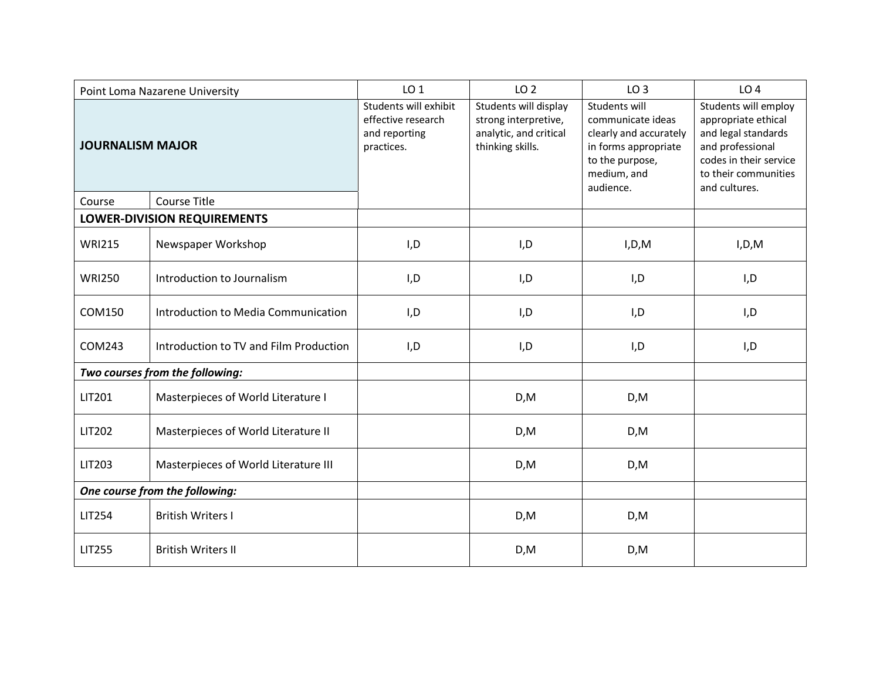| Point Loma Nazarene University  |                                        | LO <sub>1</sub>                                                            | LO <sub>2</sub>                                                                             | LO <sub>3</sub>                                                                                                                     | LO <sub>4</sub>                                                                                                                                           |
|---------------------------------|----------------------------------------|----------------------------------------------------------------------------|---------------------------------------------------------------------------------------------|-------------------------------------------------------------------------------------------------------------------------------------|-----------------------------------------------------------------------------------------------------------------------------------------------------------|
| <b>JOURNALISM MAJOR</b>         |                                        | Students will exhibit<br>effective research<br>and reporting<br>practices. | Students will display<br>strong interpretive,<br>analytic, and critical<br>thinking skills. | Students will<br>communicate ideas<br>clearly and accurately<br>in forms appropriate<br>to the purpose,<br>medium, and<br>audience. | Students will employ<br>appropriate ethical<br>and legal standards<br>and professional<br>codes in their service<br>to their communities<br>and cultures. |
| Course                          | <b>Course Title</b>                    |                                                                            |                                                                                             |                                                                                                                                     |                                                                                                                                                           |
| LOWER-DIVISION REQUIREMENTS     |                                        |                                                                            |                                                                                             |                                                                                                                                     |                                                                                                                                                           |
| <b>WRI215</b>                   | Newspaper Workshop                     | I,D                                                                        | I,D                                                                                         | I, D, M                                                                                                                             | I, D, M                                                                                                                                                   |
| <b>WRI250</b>                   | Introduction to Journalism             | I, D                                                                       | I, D                                                                                        | I, D                                                                                                                                | I, D                                                                                                                                                      |
| <b>COM150</b>                   | Introduction to Media Communication    | I, D                                                                       | I, D                                                                                        | I, D                                                                                                                                | I, D                                                                                                                                                      |
| COM243                          | Introduction to TV and Film Production | I, D                                                                       | I,D                                                                                         | I,D                                                                                                                                 | I,D                                                                                                                                                       |
| Two courses from the following: |                                        |                                                                            |                                                                                             |                                                                                                                                     |                                                                                                                                                           |
| <b>LIT201</b>                   | Masterpieces of World Literature I     |                                                                            | D,M                                                                                         | D, M                                                                                                                                |                                                                                                                                                           |
| <b>LIT202</b>                   | Masterpieces of World Literature II    |                                                                            | D, M                                                                                        | D, M                                                                                                                                |                                                                                                                                                           |
| <b>LIT203</b>                   | Masterpieces of World Literature III   |                                                                            | D, M                                                                                        | D,M                                                                                                                                 |                                                                                                                                                           |
| One course from the following:  |                                        |                                                                            |                                                                                             |                                                                                                                                     |                                                                                                                                                           |
| <b>LIT254</b>                   | <b>British Writers I</b>               |                                                                            | D, M                                                                                        | D, M                                                                                                                                |                                                                                                                                                           |
| <b>LIT255</b>                   | <b>British Writers II</b>              |                                                                            | D, M                                                                                        | D, M                                                                                                                                |                                                                                                                                                           |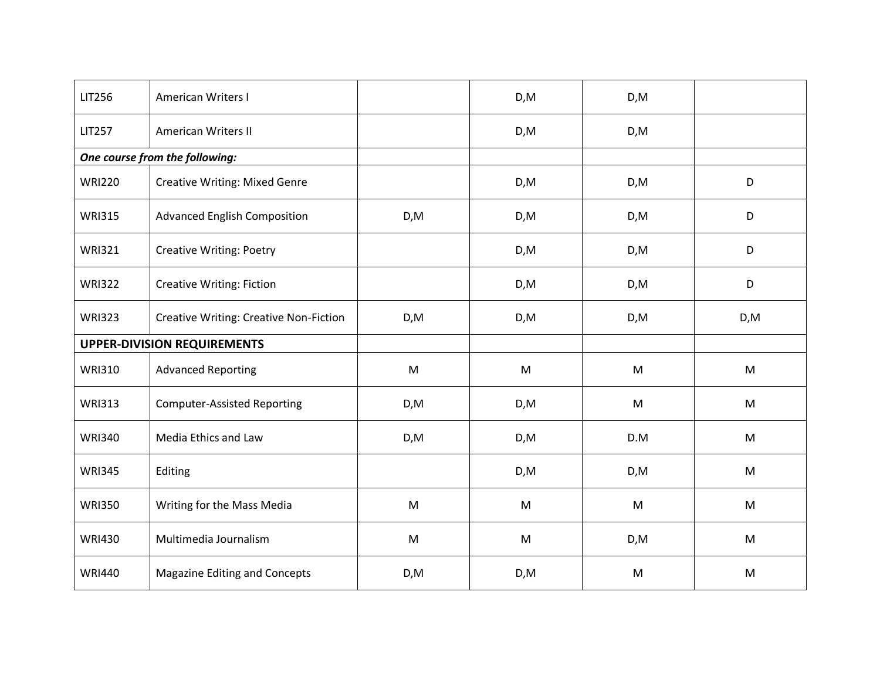| <b>LIT256</b>                      | American Writers I                            |           | D, M | D, M      |      |
|------------------------------------|-----------------------------------------------|-----------|------|-----------|------|
| <b>LIT257</b>                      | <b>American Writers II</b>                    |           | D,M  | D, M      |      |
|                                    | One course from the following:                |           |      |           |      |
| <b>WRI220</b>                      | <b>Creative Writing: Mixed Genre</b>          |           | D, M | D, M      | D    |
| <b>WRI315</b>                      | <b>Advanced English Composition</b>           | D, M      | D,M  | D, M      | D    |
| <b>WRI321</b>                      | <b>Creative Writing: Poetry</b>               |           | D,M  | D, M      | D    |
| <b>WRI322</b>                      | <b>Creative Writing: Fiction</b>              |           | D,M  | D,M       | D    |
| <b>WRI323</b>                      | <b>Creative Writing: Creative Non-Fiction</b> | D, M      | D,M  | D, M      | D, M |
| <b>UPPER-DIVISION REQUIREMENTS</b> |                                               |           |      |           |      |
| <b>WRI310</b>                      | <b>Advanced Reporting</b>                     | M         | M    | ${\sf M}$ | M    |
| <b>WRI313</b>                      | <b>Computer-Assisted Reporting</b>            | D,M       | D,M  | M         | M    |
| <b>WRI340</b>                      | Media Ethics and Law                          | D,M       | D,M  | D.M       | M    |
| <b>WRI345</b>                      | Editing                                       |           | D,M  | D,M       | M    |
| <b>WRI350</b>                      | Writing for the Mass Media                    | ${\sf M}$ | M    | M         | M    |
| <b>WRI430</b>                      | Multimedia Journalism                         | ${\sf M}$ | M    | D,M       | M    |
| <b>WRI440</b>                      | <b>Magazine Editing and Concepts</b>          | D, M      | D,M  | M         | M    |